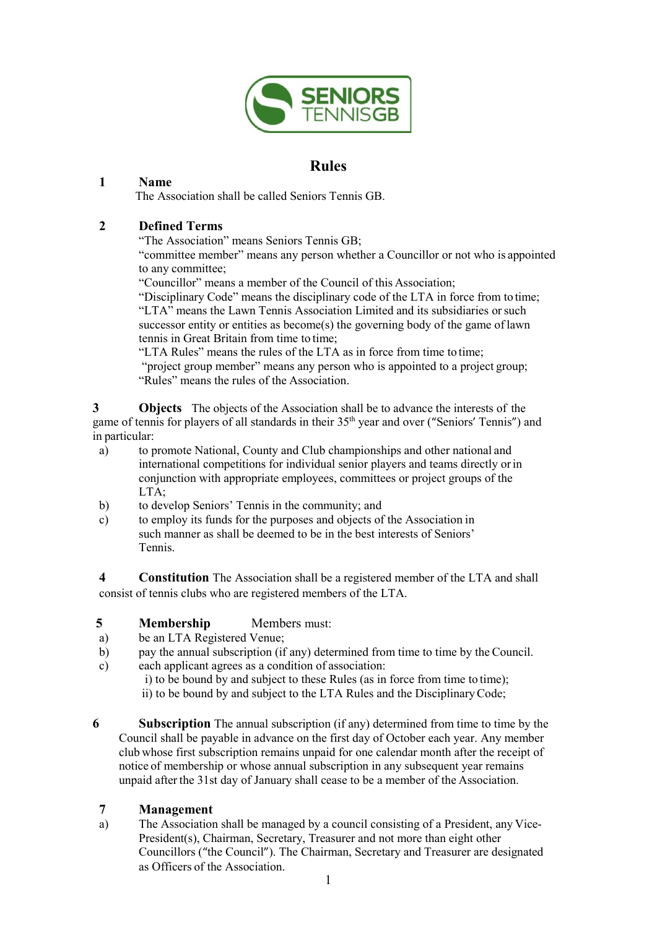

# **Rules**

### **1 Name**

The Association shall be called Seniors Tennis GB.

### **2 Defined Terms**

"The Association" means Seniors Tennis GB;

"committee member" means any person whether a Councillor or not who is appointed to any committee;

"Councillor" means a member of the Council of this Association;

"Disciplinary Code" means the disciplinary code of the LTA in force from to time; "LTA" means the Lawn Tennis Association Limited and its subsidiaries orsuch successor entity or entities as become(s) the governing body of the game of lawn tennis in Great Britain from time to time;

"LTA Rules" means the rules of the LTA as in force from time to time; "project group member" means any person who is appointed to a project group; "Rules" means the rules of the Association.

**3 Objects** The objects of the Association shall be to advance the interests of the game of tennis for players of all standards in their 35<sup>th</sup> year and over ("Seniors' Tennis") and in particular:

- a) to promote National, County and Club championships and other national and international competitions for individual senior players and teams directly orin conjunction with appropriate employees, committees or project groups of the LTA;
- b) to develop Seniors' Tennis in the community; and
- c) to employ its funds for the purposes and objects of the Association in such manner as shall be deemed to be in the best interests of Seniors' Tennis.

**4 Constitution** The Association shall be a registered member of the LTA and shall consist of tennis clubs who are registered members of the LTA.

### **5 Membership** Members must:

- a) be an LTA Registered Venue;
- b) pay the annual subscription (if any) determined from time to time by the Council.
- c) each applicant agrees as a condition of association:

i) to be bound by and subject to these Rules (as in force from time to time); ii) to be bound by and subject to the LTA Rules and the DisciplinaryCode;

**6 Subscription** The annual subscription (if any) determined from time to time by the Council shall be payable in advance on the first day of October each year. Any member club whose first subscription remains unpaid for one calendar month after the receipt of notice of membership or whose annual subscription in any subsequent year remains unpaid after the 31st day of January shall cease to be a member of the Association.

### **7 Management**

a) The Association shall be managed by a council consisting of a President, any Vice-President(s), Chairman, Secretary, Treasurer and not more than eight other Councillors ("the Council"). The Chairman, Secretary and Treasurer are designated as Officers of the Association.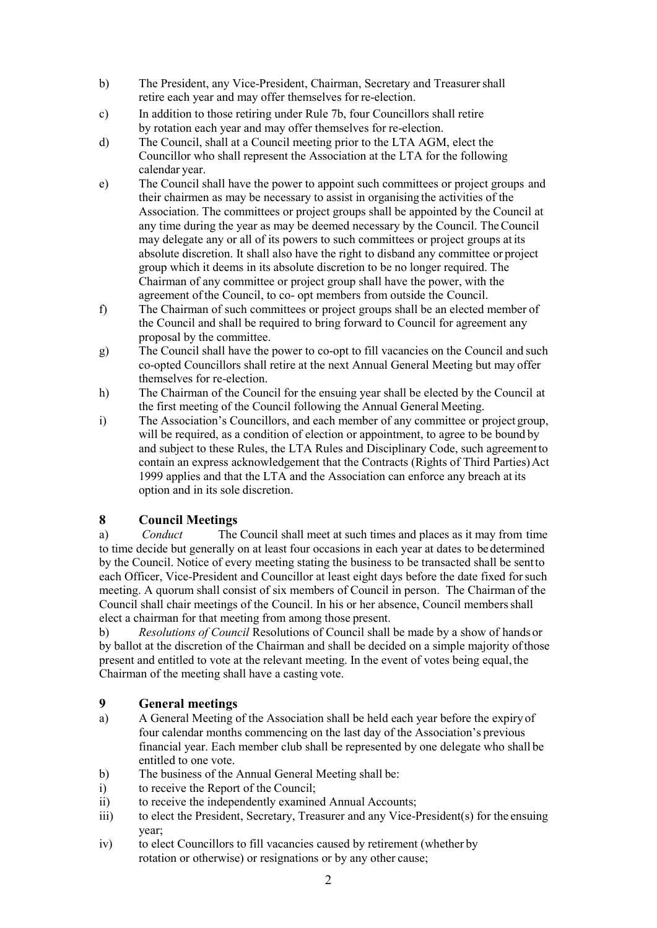- b) The President, any Vice-President, Chairman, Secretary and Treasurershall retire each year and may offer themselves for re-election.
- c) In addition to those retiring under Rule 7b, four Councillors shall retire by rotation each year and may offer themselves for re-election.
- d) The Council, shall at a Council meeting prior to the LTA AGM, elect the Councillor who shall represent the Association at the LTA for the following calendar year.
- e) The Council shall have the power to appoint such committees or project groups and their chairmen as may be necessary to assist in organising the activities of the Association. The committees or project groups shall be appointed by the Council at any time during the year as may be deemed necessary by the Council. TheCouncil may delegate any or all of its powers to such committees or project groups at its absolute discretion. It shall also have the right to disband any committee or project group which it deems in its absolute discretion to be no longer required. The Chairman of any committee or project group shall have the power, with the agreement ofthe Council, to co- opt members from outside the Council.
- f) The Chairman of such committees or project groups shall be an elected member of the Council and shall be required to bring forward to Council for agreement any proposal by the committee.
- g) The Council shall have the power to co-opt to fill vacancies on the Council and such co-opted Councillors shall retire at the next Annual General Meeting but may offer themselves for re-election.
- h) The Chairman of the Council for the ensuing year shall be elected by the Council at the first meeting of the Council following the Annual General Meeting.
- i) The Association's Councillors, and each member of any committee or project group, will be required, as a condition of election or appointment, to agree to be bound by and subject to these Rules, the LTA Rules and Disciplinary Code, such agreementto contain an express acknowledgement that the Contracts (Rights of Third Parties) Act 1999 applies and that the LTA and the Association can enforce any breach at its option and in its sole discretion.

## **8 Council Meetings**

a) *Conduct* The Council shall meet at such times and places as it may from time to time decide but generally on at least four occasions in each year at dates to be determined by the Council. Notice of every meeting stating the business to be transacted shall be sentto each Officer, Vice-President and Councillor at least eight days before the date fixed forsuch meeting. A quorum shall consist of six members of Council in person. The Chairman of the Council shall chair meetings of the Council. In his or her absence, Council membersshall elect a chairman for that meeting from among those present.

b) *Resolutions of Council* Resolutions of Council shall be made by a show of hands or by ballot at the discretion of the Chairman and shall be decided on a simple majority ofthose present and entitled to vote at the relevant meeting. In the event of votes being equal, the Chairman of the meeting shall have a casting vote.

## **9 General meetings**

- a) A General Meeting of the Association shall be held each year before the expiry of four calendar months commencing on the last day of the Association's previous financial year. Each member club shall be represented by one delegate who shall be entitled to one vote.
- b) The business of the Annual General Meeting shall be:
- i) to receive the Report of the Council;
- ii) to receive the independently examined Annual Accounts;
- iii) to elect the President, Secretary, Treasurer and any Vice-President(s) for the ensuing year;
- iv) to elect Councillors to fill vacancies caused by retirement (whether by rotation or otherwise) or resignations or by any other cause;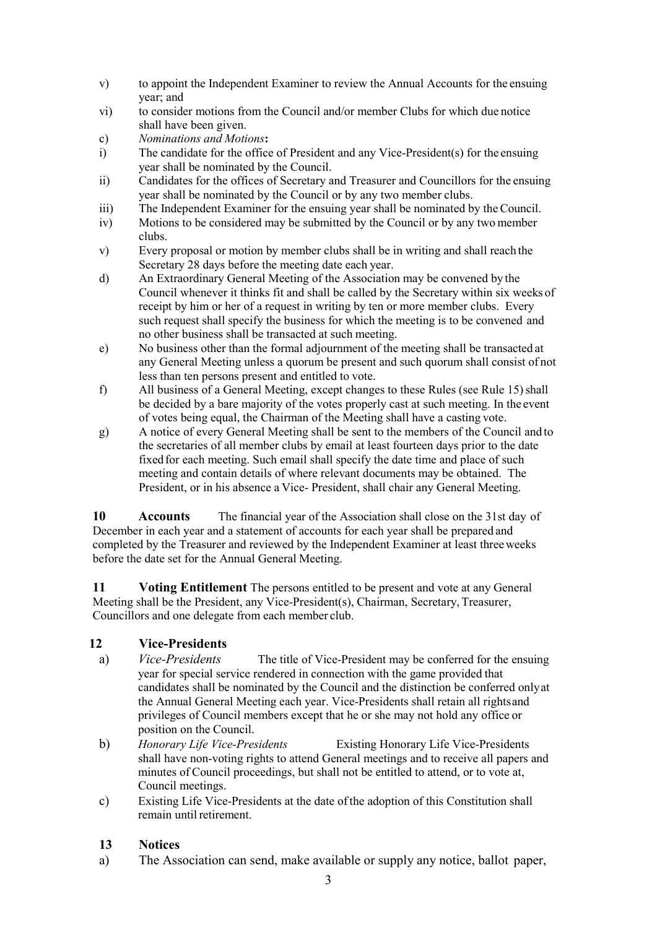- v) to appoint the Independent Examiner to review the Annual Accounts for the ensuing year; and
- vi) to consider motions from the Council and/or member Clubs for which due notice shall have been given.
- c) *Nominations and Motions***:**
- The candidate for the office of President and any Vice-President(s) for the ensuing year shall be nominated by the Council.
- ii) Candidates for the offices of Secretary and Treasurer and Councillors for the ensuing year shall be nominated by the Council or by any two member clubs.
- iii) The Independent Examiner for the ensuing year shall be nominated by theCouncil.
- iv) Motions to be considered may be submitted by the Council or by any two member clubs.
- v) Every proposal or motion by member clubs shall be in writing and shall reach the Secretary 28 days before the meeting date each year.
- d) An Extraordinary General Meeting of the Association may be convened by the Council whenever it thinks fit and shall be called by the Secretary within six weeks of receipt by him or her of a request in writing by ten or more member clubs. Every such request shall specify the business for which the meeting is to be convened and no other business shall be transacted at such meeting.
- e) No business other than the formal adjournment of the meeting shall be transacted at any General Meeting unless a quorum be present and such quorum shall consist of not less than ten persons present and entitled to vote.
- f) All business of a General Meeting, except changes to these Rules (see Rule 15)shall be decided by a bare majority of the votes properly cast at such meeting. In the event of votes being equal, the Chairman of the Meeting shall have a casting vote.
- g) A notice of every General Meeting shall be sent to the members of the Council and to the secretaries of all member clubs by email at least fourteen days prior to the date fixed for each meeting. Such email shall specify the date time and place of such meeting and contain details of where relevant documents may be obtained. The President, or in his absence a Vice- President, shall chair any General Meeting.

**10** Accounts The financial year of the Association shall close on the 31st day of December in each year and a statement of accounts for each year shall be prepared and completed by the Treasurer and reviewed by the Independent Examiner at least threeweeks before the date set for the Annual General Meeting.

**11 Voting Entitlement** The persons entitled to be present and vote at any General Meeting shall be the President, any Vice-President(s), Chairman, Secretary,Treasurer, Councillors and one delegate from each member club.

## **12 Vice-Presidents**

- a) *Vice-Presidents* The title of Vice-President may be conferred for the ensuing year for special service rendered in connection with the game provided that candidates shall be nominated by the Council and the distinction be conferred onlyat the Annual General Meeting each year. Vice-Presidents shall retain all rightsand privileges of Council members except that he or she may not hold any office or position on the Council.
- b) *Honorary Life Vice-Presidents* Existing Honorary Life Vice-Presidents shall have non-voting rights to attend General meetings and to receive all papers and minutes of Council proceedings, but shall not be entitled to attend, or to vote at, Council meetings.
- c) Existing Life Vice-Presidents at the date ofthe adoption of this Constitution shall remain until retirement.

## **13 Notices**

a) The Association can send, make available or supply any notice, ballot paper,